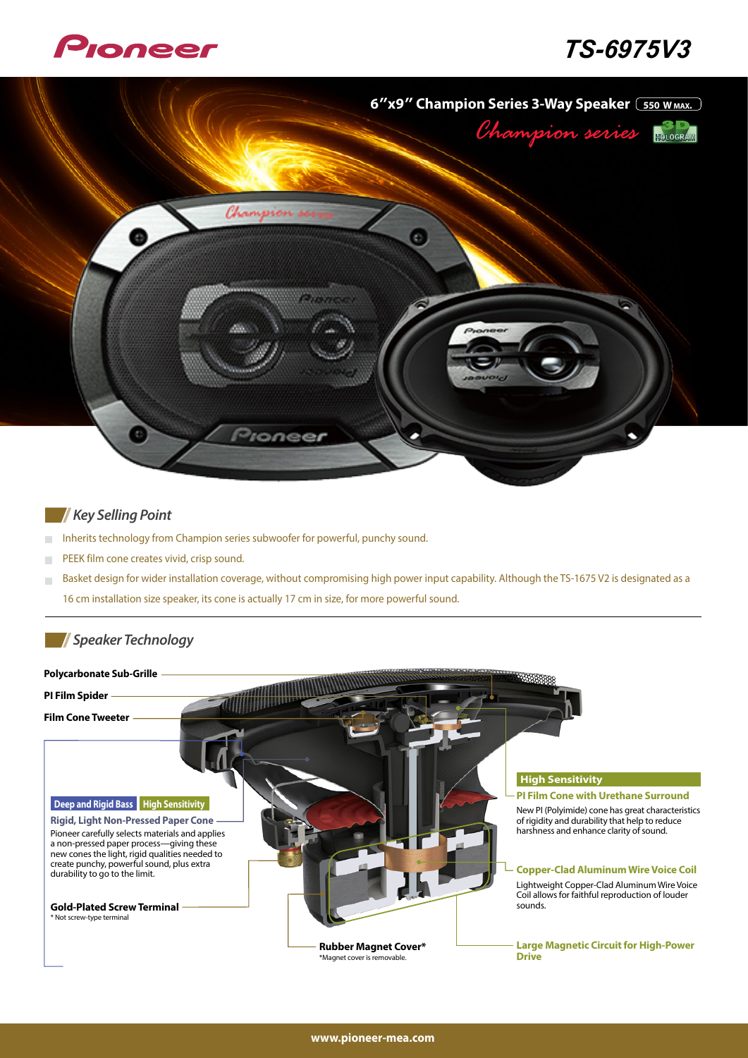

# *3V-6975TS*



### *Point* Key Selling Point

- Inherits technology from Champion series subwoofer for powerful, punchy sound.  $\overline{\phantom{a}}$
- PEEK film cone creates vivid, crisp sound.  $\mathcal{L}_{\mathcal{A}}$
- Basket design for wider installation coverage, without compromising high power input capability. Although the TS-1675 V2 is designated as a  $\overline{\phantom{a}}$ 16 cm installation size speaker, its cone is actually 17 cm in size, for more powerful sound.

## **Technology**